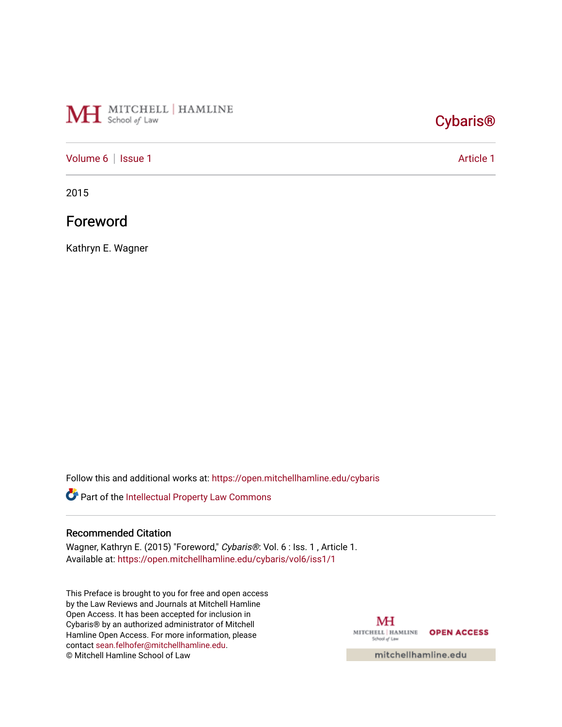# MH School of Law

## [Cybaris®](https://open.mitchellhamline.edu/cybaris)

#### [Volume 6](https://open.mitchellhamline.edu/cybaris/vol6) | [Issue 1](https://open.mitchellhamline.edu/cybaris/vol6/iss1) Article 1

2015

## Foreword

Kathryn E. Wagner

Follow this and additional works at: [https://open.mitchellhamline.edu/cybaris](https://open.mitchellhamline.edu/cybaris?utm_source=open.mitchellhamline.edu%2Fcybaris%2Fvol6%2Fiss1%2F1&utm_medium=PDF&utm_campaign=PDFCoverPages) 

Part of the [Intellectual Property Law Commons](http://network.bepress.com/hgg/discipline/896?utm_source=open.mitchellhamline.edu%2Fcybaris%2Fvol6%2Fiss1%2F1&utm_medium=PDF&utm_campaign=PDFCoverPages) 

#### Recommended Citation

Wagner, Kathryn E. (2015) "Foreword," Cybaris®: Vol. 6 : Iss. 1, Article 1. Available at: [https://open.mitchellhamline.edu/cybaris/vol6/iss1/1](https://open.mitchellhamline.edu/cybaris/vol6/iss1/1?utm_source=open.mitchellhamline.edu%2Fcybaris%2Fvol6%2Fiss1%2F1&utm_medium=PDF&utm_campaign=PDFCoverPages)

This Preface is brought to you for free and open access by the Law Reviews and Journals at Mitchell Hamline Open Access. It has been accepted for inclusion in Cybaris® by an authorized administrator of Mitchell Hamline Open Access. For more information, please contact [sean.felhofer@mitchellhamline.edu.](mailto:sean.felhofer@mitchellhamline.edu) © Mitchell Hamline School of Law

MH MITCHELL | HAMLINE OPEN ACCESS School of Law

mitchellhamline.edu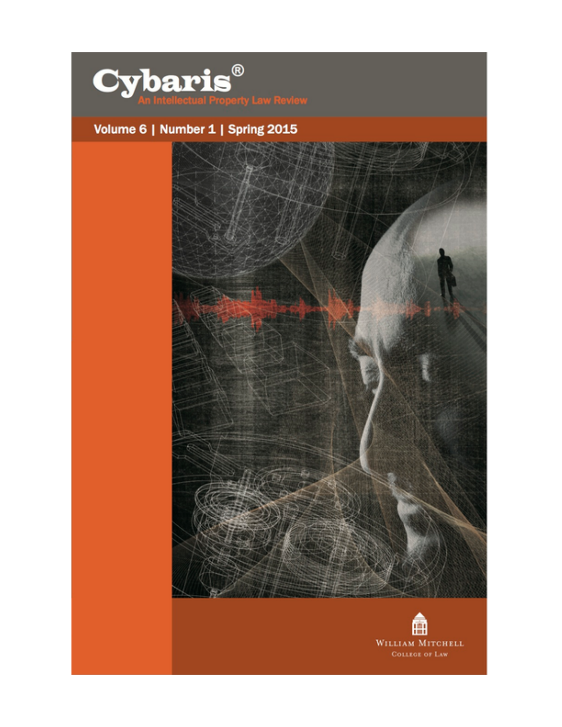

## Volume 6 | Number 1 | Spring 2015



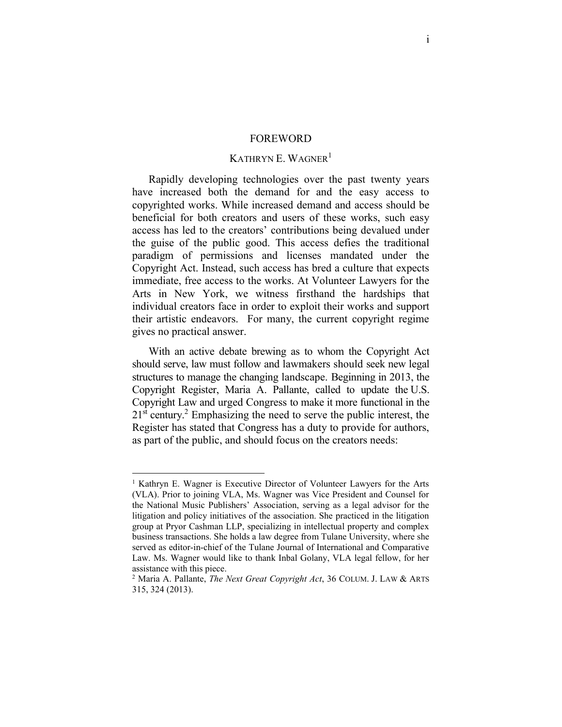#### FOREWORD

#### KATHRYN E. WAGNER<sup>1</sup>

Rapidly developing technologies over the past twenty years have increased both the demand for and the easy access to copyrighted works. While increased demand and access should be beneficial for both creators and users of these works, such easy access has led to the creators' contributions being devalued under the guise of the public good. This access defies the traditional paradigm of permissions and licenses mandated under the Copyright Act. Instead, such access has bred a culture that expects immediate, free access to the works. At Volunteer Lawyers for the Arts in New York, we witness firsthand the hardships that individual creators face in order to exploit their works and support their artistic endeavors. For many, the current copyright regime gives no practical answer.

With an active debate brewing as to whom the Copyright Act should serve, law must follow and lawmakers should seek new legal structures to manage the changing landscape. Beginning in 2013, the Copyright Register, Maria A. Pallante, called to update the U.S. Copyright Law and urged Congress to make it more functional in the 21<sup>st</sup> century.<sup>2</sup> Emphasizing the need to serve the public interest, the Register has stated that Congress has a duty to provide for authors, as part of the public, and should focus on the creators needs:

<sup>&</sup>lt;sup>1</sup> Kathryn E. Wagner is Executive Director of Volunteer Lawyers for the Arts (VLA). Prior to joining VLA, Ms. Wagner was Vice President and Counsel for the National Music Publishers' Association, serving as a legal advisor for the litigation and policy initiatives of the association. She practiced in the litigation group at Pryor Cashman LLP, specializing in intellectual property and complex business transactions. She holds a law degree from Tulane University, where she served as editor-in-chief of the Tulane Journal of International and Comparative Law. Ms. Wagner would like to thank Inbal Golany, VLA legal fellow, for her assistance with this piece.

<sup>2</sup> Maria A. Pallante, *The Next Great Copyright Act*, 36 COLUM. J. LAW & ARTS 315, 324 (2013).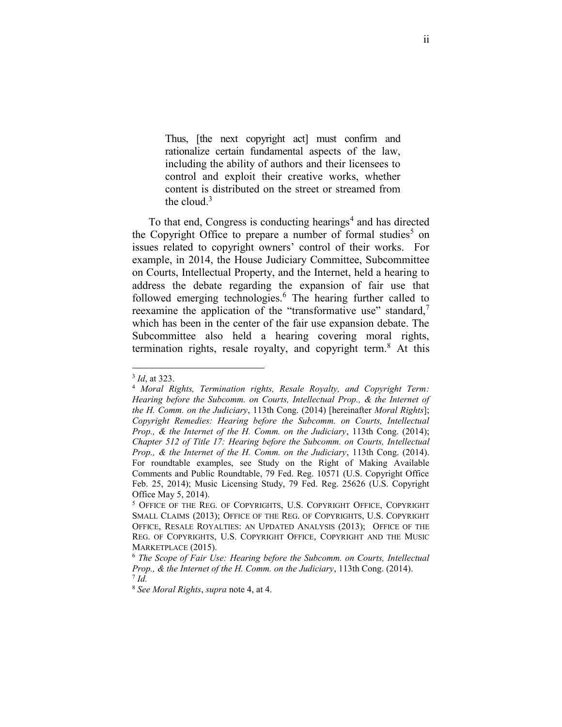<span id="page-3-0"></span>Thus, [the next copyright act] must confirm and rationalize certain fundamental aspects of the law, including the ability of authors and their licensees to control and exploit their creative works, whether content is distributed on the street or streamed from the cloud. $3$ 

To that end, Congress is conducting hearings<sup>4</sup> and has directed the Copyright Office to prepare a number of formal studies<sup>5</sup> on issues related to copyright owners' control of their works. For example, in 2014, the House Judiciary Committee, Subcommittee on Courts, Intellectual Property, and the Internet, held a hearing to address the debate regarding the expansion of fair use that followed emerging technologies. $6$  The hearing further called to reexamine the application of the "transformative use" standard,<sup>7</sup> which has been in the center of the fair use expansion debate. The Subcommittee also held a hearing covering moral rights, termination rights, resale royalty, and copyright term.<sup>8</sup> At this

<sup>&</sup>lt;sup>3</sup> *Id*, at 323.<br><sup>4</sup> *Moral Rights, Termination rights, Resale Royalty, and Copyright Term: Hearing before the Subcomm. on Courts, Intellectual Prop., & the Internet of the H. Comm. on the Judiciary*, 113th Cong. (2014) [hereinafter *Moral Rights*]; *Copyright Remedies: Hearing before the Subcomm. on Courts, Intellectual Prop., & the Internet of the H. Comm. on the Judiciary*, 113th Cong. (2014); *Chapter 512 of Title 17: Hearing before the Subcomm. on Courts, Intellectual Prop., & the Internet of the H. Comm. on the Judiciary*, 113th Cong. (2014). For roundtable examples, see Study on the Right of Making Available Comments and Public Roundtable, 79 Fed. Reg. 10571 (U.S. Copyright Office Feb. 25, 2014); Music Licensing Study, 79 Fed. Reg. 25626 (U.S. Copyright Office May 5, 2014).

<sup>5</sup> OFFICE OF THE REG. OF COPYRIGHTS, U.S. COPYRIGHT OFFICE, COPYRIGHT SMALL CLAIMS (2013); OFFICE OF THE REG. OF COPYRIGHTS, U.S. COPYRIGHT OFFICE, RESALE ROYALTIES: AN UPDATED ANALYSIS (2013); OFFICE OF THE REG. OF COPYRIGHTS, U.S. COPYRIGHT OFFICE, COPYRIGHT AND THE MUSIC MARKETPLACE (2015).

<sup>6</sup> *The Scope of Fair Use: Hearing before the Subcomm. on Courts, Intellectual Prop., & the Internet of the H. Comm. on the Judiciary*, 113th Cong. (2014). <sup>7</sup> *Id.*

<sup>8</sup> *See Moral Rights*, *supra* note [4,](#page-3-0) at 4.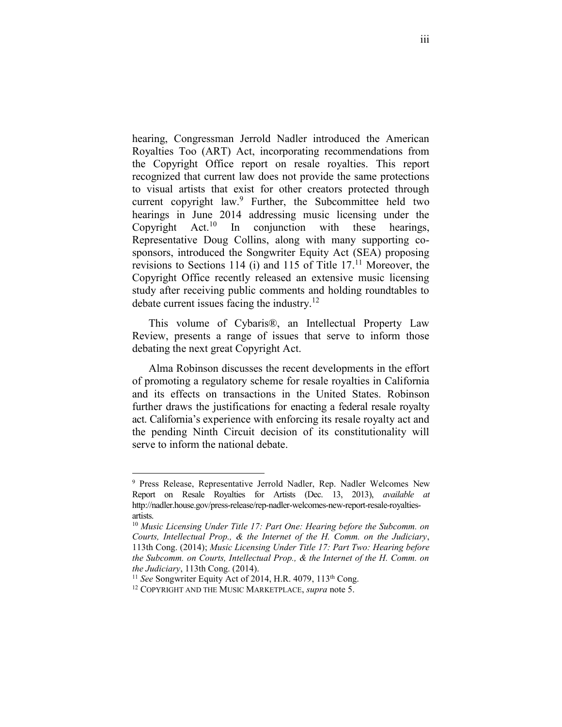hearing, Congressman Jerrold Nadler introduced the American Royalties Too (ART) Act, incorporating recommendations from the Copyright Office report on resale royalties. This report recognized that current law does not provide the same protections to visual artists that exist for other creators protected through current copyright law.<sup>9</sup> Further, the Subcommittee held two hearings in June 2014 addressing music licensing under the Copyright Act.<sup>10</sup> In conjunction with these hearings, Representative Doug Collins, along with many supporting cosponsors, introduced the Songwriter Equity Act (SEA) proposing revisions to Sections 114 (i) and 115 of Title  $17<sup>11</sup>$  Moreover, the Copyright Office recently released an extensive music licensing study after receiving public comments and holding roundtables to debate current issues facing the industry.<sup>12</sup>

This volume of Cybaris®, an Intellectual Property Law Review, presents a range of issues that serve to inform those debating the next great Copyright Act.

Alma Robinson discusses the recent developments in the effort of promoting a regulatory scheme for resale royalties in California and its effects on transactions in the United States. Robinson further draws the justifications for enacting a federal resale royalty act. California's experience with enforcing its resale royalty act and the pending Ninth Circuit decision of its constitutionality will serve to inform the national debate.

 <sup>9</sup> Press Release, Representative Jerrold Nadler, Rep. Nadler Welcomes New Report on Resale Royalties for Artists (Dec. 13, 2013), *available at* http://nadler.house.gov/press-release/rep-nadler-welcomes-new-report-resale-royaltiesartists.

<sup>10</sup> *Music Licensing Under Title 17: Part One: Hearing before the Subcomm. on Courts, Intellectual Prop., & the Internet of the H. Comm. on the Judiciary*, 113th Cong. (2014); *Music Licensing Under Title 17: Part Two: Hearing before the Subcomm. on Courts, Intellectual Prop., & the Internet of the H. Comm. on the Judiciary*, 113th Cong. (2014).

<sup>&</sup>lt;sup>11</sup> *See* Songwriter Equity Act of 2014, H.R. 4079, 113<sup>th</sup> Cong.<br><sup>12</sup> COPYRIGHT AND THE MUSIC MARKETPLACE, *supra* note 5.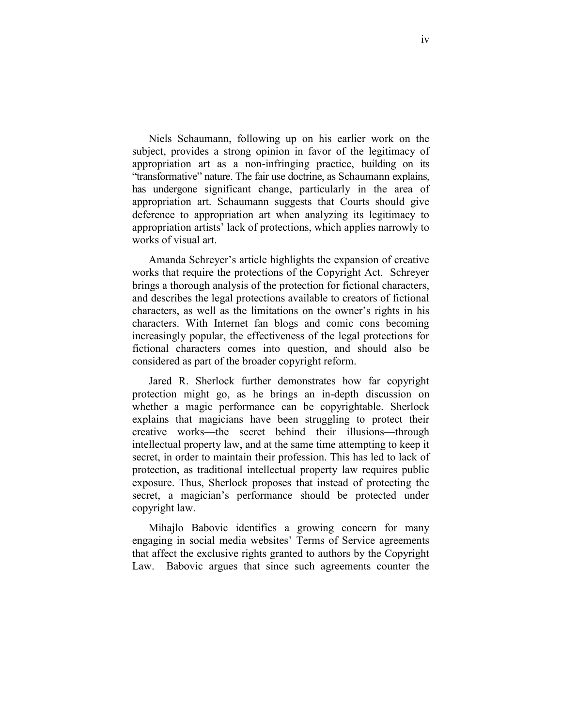Niels Schaumann, following up on his earlier work on the subject, provides a strong opinion in favor of the legitimacy of appropriation art as a non-infringing practice, building on its "transformative" nature. The fair use doctrine, as Schaumann explains, has undergone significant change, particularly in the area of appropriation art. Schaumann suggests that Courts should give deference to appropriation art when analyzing its legitimacy to appropriation artists' lack of protections, which applies narrowly to works of visual art.

Amanda Schreyer's article highlights the expansion of creative works that require the protections of the Copyright Act. Schreyer brings a thorough analysis of the protection for fictional characters, and describes the legal protections available to creators of fictional characters, as well as the limitations on the owner's rights in his characters. With Internet fan blogs and comic cons becoming increasingly popular, the effectiveness of the legal protections for fictional characters comes into question, and should also be considered as part of the broader copyright reform.

Jared R. Sherlock further demonstrates how far copyright protection might go, as he brings an in-depth discussion on whether a magic performance can be copyrightable. Sherlock explains that magicians have been struggling to protect their creative works—the secret behind their illusions—through intellectual property law, and at the same time attempting to keep it secret, in order to maintain their profession. This has led to lack of protection, as traditional intellectual property law requires public exposure. Thus, Sherlock proposes that instead of protecting the secret, a magician's performance should be protected under copyright law.

Mihajlo Babovic identifies a growing concern for many engaging in social media websites' Terms of Service agreements that affect the exclusive rights granted to authors by the Copyright Law. Babovic argues that since such agreements counter the